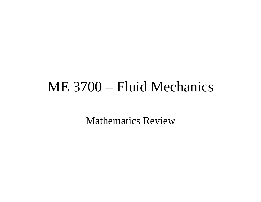# ME 3700 – Fluid Mechanics

Mathematics Review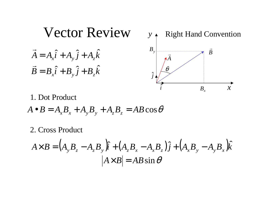

1. Dot Product

 $A \bullet B = A_x B_x + A_y B_y + A_z B_z = AB \cos \theta$ 

2. Cross Product

$$
A \times B = (A_y B_z - A_z B_y)\hat{i} + (A_z B_x - A_x B_z)\hat{j} + (A_x B_y - A_y B_x)\hat{k}
$$
  

$$
|A \times B| = AB \sin \theta
$$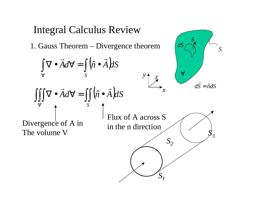## Integral Calculus Review

1. Gauss Theorem – Divergence theorem

$$
\int_{\forall} \nabla \cdot \vec{A} d\vec{\nabla} = \int_{S} (\hat{n} \cdot \vec{A}) dS
$$
\n
$$
\iiint_{\forall} \nabla \cdot \vec{A} d\vec{\nabla} = \iint_{S} (\hat{n} \cdot \vec{A}) dS
$$
\n
$$
\text{Divergence of A in}
$$
\nThe volume V\n
$$
\text{The volume V}
$$
\n
$$
\text{Divergence of A in}
$$
\n
$$
\text{Divergence of A in}
$$
\n
$$
\text{Divergence of A in}
$$
\n
$$
\text{Divergence of A in}
$$
\n
$$
\text{Divergence of A in}
$$
\n
$$
\text{Divergence of A in}
$$
\n
$$
\text{Divergence of A in}
$$
\n
$$
\text{Divergence of A in}
$$

*S*

 $\hat{n}$ 

*dS*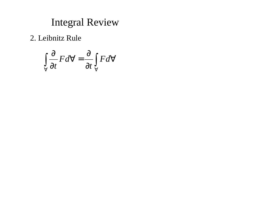### Integral Review

2. Leibnitz Rule

$$
\int_{\forall} \frac{\partial}{\partial t} F d\forall = \frac{\partial}{\partial t} \int_{\forall} F d\forall
$$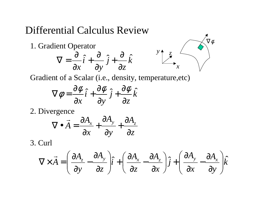### Differential Calculus Review

*k z j y i x*ˆˆˆ∂ ∂  $\overline{\partial v}^{\,J\,+}$ ∂  $\overline{\partial x}^{l}$  + ∂  $\nabla =$ 1. Gradient Operator



Gradient of a Scalar (i.e., density, temperature,etc)

$$
\nabla \phi = \frac{\partial \phi}{\partial x} \hat{i} + \frac{\partial \phi}{\partial y} \hat{j} + \frac{\partial \phi}{\partial z} \hat{k}
$$

2. Divergence

$$
\nabla \bullet \vec{A} = \frac{\partial A_x}{\partial x} + \frac{\partial A_y}{\partial y} + \frac{\partial A_z}{\partial z}
$$

3. Curl

$$
\nabla \times \vec{A} = \left(\frac{\partial A_z}{\partial y} - \frac{\partial A_y}{\partial z}\right)\hat{i} + \left(\frac{\partial A_x}{\partial z} - \frac{\partial A_z}{\partial x}\right)\hat{j} + \left(\frac{\partial A_y}{\partial x} - \frac{\partial A_x}{\partial y}\right)\hat{k}
$$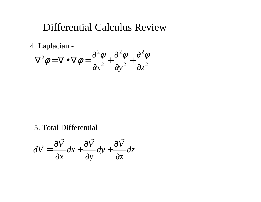### Differential Calculus Review

4. Laplacian -

$$
\nabla^2 \phi = \nabla \bullet \nabla \phi = \frac{\partial^2 \phi}{\partial x^2} + \frac{\partial^2 \phi}{\partial y^2} + \frac{\partial^2 \phi}{\partial z^2}
$$

5. Total Differential

$$
d\vec{V} = \frac{\partial \vec{V}}{\partial x} dx + \frac{\partial \vec{V}}{\partial y} dy + \frac{\partial \vec{V}}{\partial z} dz
$$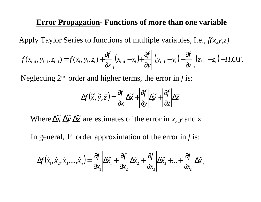#### **Error Propagation- Functions of more than one variable**

Apply Taylor Series to functions of multiple variables, I.e., *f(x,y,z)*

$$
f(x_{i+1}, y_{i+1}, z_{i+1}) = f(x_i, y_i, z_i) + \frac{\partial f}{\partial x}\bigg|_{i}(x_{i+1} - x_i) + \frac{\partial f}{\partial y}\bigg|_{i}(y_{i+1} - y_i) + \frac{\partial f}{\partial z}\bigg|_{i}(z_{i+1} - z_i) + H.O.T.
$$

Neglecting 2nd order and higher terms, the error in *f* is:

$$
\Delta f(\widetilde{x}, \widetilde{y}, \widetilde{z}) = \left| \frac{\partial f}{\partial x} \right| \Delta \widetilde{x} + \left| \frac{\partial f}{\partial y} \right| \Delta \widetilde{y} + \left| \frac{\partial f}{\partial z} \right| \Delta \widetilde{z}
$$

Where  $\Delta \tilde{x} \Delta \tilde{y} \Delta \tilde{z}$  are estimates of the error in *x*, *y* and *z* 

In general, 1st order approximation of the error in *f* is:

$$
\Delta f(\widetilde{x}_1, \widetilde{x}_2, \widetilde{x}_3, \dots, \widetilde{x}_n) = \left| \frac{\partial f}{\partial x_1} \right| \Delta \widetilde{x}_1 + \left| \frac{\partial f}{\partial x_2} \right| \Delta \widetilde{x}_2 + \left| \frac{\partial f}{\partial x_3} \right| \Delta \widetilde{x}_3 + \dots + \left| \frac{\partial f}{\partial x_n} \right| \Delta \widetilde{x}_n
$$